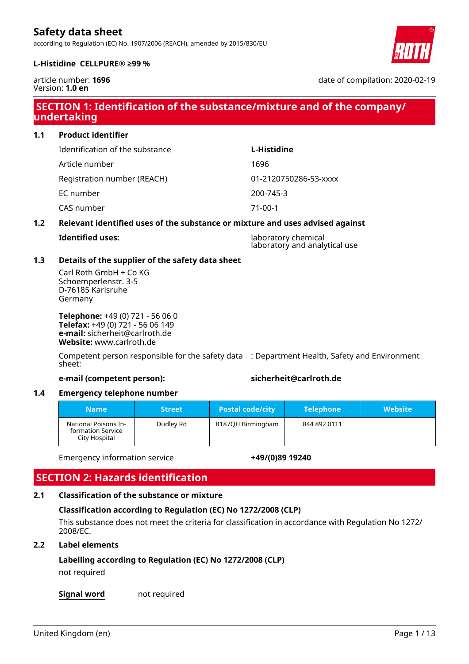according to Regulation (EC) No. 1907/2006 (REACH), amended by 2015/830/EU



#### **L-Histidine CELLPURE® ≥99 %**

article number: **1696** Version: **1.0 en**

# **SECTION 1: Identification of the substance/mixture and of the company/ undertaking**

### **1.1 Product identifier**

Identification of the substance **L-Histidine**

Article number 1696

EC number 200-745-3

CAS number 71-00-1

Registration number (REACH) 01-2120750286-53-xxxx

### **1.2 Relevant identified uses of the substance or mixture and uses advised against**

**Iaboratory chemical** laboratory and analytical use

### **1.3 Details of the supplier of the safety data sheet**

Carl Roth GmbH + Co KG Schoemperlenstr. 3-5 D-76185 Karlsruhe Germany

**Telephone:** +49 (0) 721 - 56 06 0 **Telefax:** +49 (0) 721 - 56 06 149 **e-mail:** sicherheit@carlroth.de **Website:** www.carlroth.de

Competent person responsible for the safety data : Department Health, Safety and Environment sheet:

#### **e-mail (competent person): sicherheit@carlroth.de**

### **1.4 Emergency telephone number**

| <b>Name</b>                                                | <b>Street</b> | <b>Postal code/city</b> | <b>Telephone</b> | Website' |
|------------------------------------------------------------|---------------|-------------------------|------------------|----------|
| National Poisons In-<br>formation Service<br>City Hospital | Dudley Rd     | B187QH Birmingham       | 844 892 0111     |          |

Emergency information service **+49/(0)89 19240**

# **SECTION 2: Hazards identification**

# **2.1 Classification of the substance or mixture**

### **Classification according to Regulation (EC) No 1272/2008 (CLP)**

This substance does not meet the criteria for classification in accordance with Regulation No 1272/ 2008/EC.

### **2.2 Label elements**

# **Labelling according to Regulation (EC) No 1272/2008 (CLP)**

not required

**Signal word** not required

date of compilation: 2020-02-19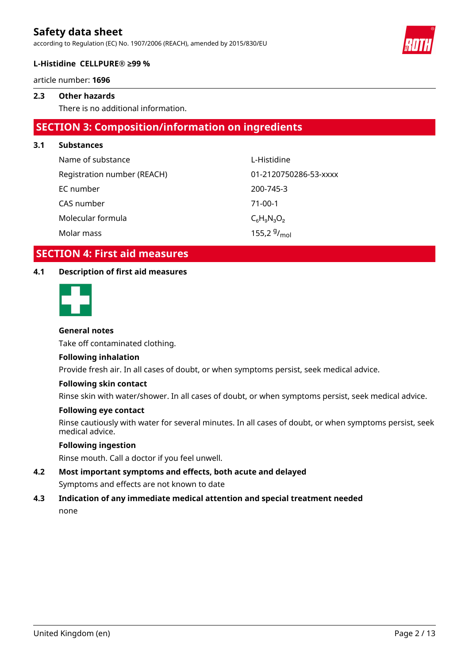according to Regulation (EC) No. 1907/2006 (REACH), amended by 2015/830/EU



#### **L-Histidine CELLPURE® ≥99 %**

article number: **1696**

### **2.3 Other hazards**

There is no additional information.

### **SECTION 3: Composition/information on ingredients**

#### **3.1 Substances**

| Name of substance           | L-Histidine           |
|-----------------------------|-----------------------|
| Registration number (REACH) | 01-2120750286-53-xxxx |
| EC number                   | 200-745-3             |
| CAS number                  | $71-00-1$             |
| Molecular formula           | $C_6H_9N_3O_2$        |
| Molar mass                  | 155,2 $9/_{mol}$      |

### **SECTION 4: First aid measures**

### **4.1 Description of first aid measures**



### **General notes**

Take off contaminated clothing.

#### **Following inhalation**

Provide fresh air. In all cases of doubt, or when symptoms persist, seek medical advice.

#### **Following skin contact**

Rinse skin with water/shower. In all cases of doubt, or when symptoms persist, seek medical advice.

#### **Following eye contact**

Rinse cautiously with water for several minutes. In all cases of doubt, or when symptoms persist, seek medical advice.

### **Following ingestion**

Rinse mouth. Call a doctor if you feel unwell.

**4.2 Most important symptoms and effects, both acute and delayed** Symptoms and effects are not known to date

### **4.3 Indication of any immediate medical attention and special treatment needed** none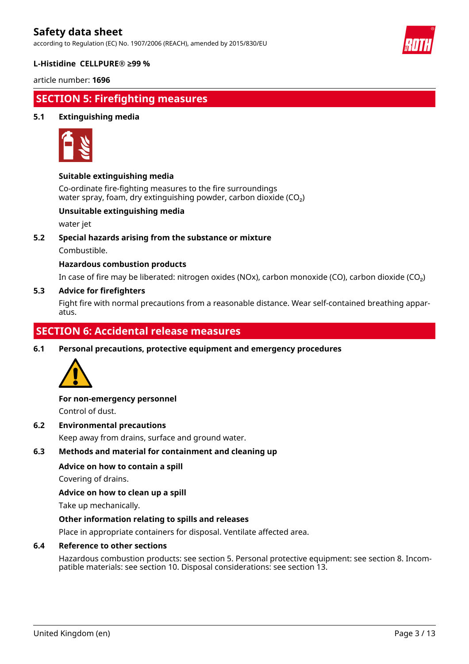according to Regulation (EC) No. 1907/2006 (REACH), amended by 2015/830/EU



#### **L-Histidine CELLPURE® ≥99 %**

article number: **1696**

# **SECTION 5: Firefighting measures**

### **5.1 Extinguishing media**



### **Suitable extinguishing media**

Co-ordinate fire-fighting measures to the fire surroundings water spray, foam, dry extinguishing powder, carbon dioxide  $(CO<sub>2</sub>)$ 

### **Unsuitable extinguishing media**

water jet

**5.2 Special hazards arising from the substance or mixture**

Combustible.

#### **Hazardous combustion products**

In case of fire may be liberated: nitrogen oxides (NOx), carbon monoxide (CO), carbon dioxide (CO₂)

#### **5.3 Advice for firefighters**

Fight fire with normal precautions from a reasonable distance. Wear self-contained breathing apparatus.

### **SECTION 6: Accidental release measures**

**6.1 Personal precautions, protective equipment and emergency procedures**



### **For non-emergency personnel**

Control of dust.

#### **6.2 Environmental precautions**

Keep away from drains, surface and ground water.

#### **6.3 Methods and material for containment and cleaning up**

#### **Advice on how to contain a spill**

Covering of drains.

**Advice on how to clean up a spill**

Take up mechanically.

#### **Other information relating to spills and releases**

Place in appropriate containers for disposal. Ventilate affected area.

#### **6.4 Reference to other sections**

Hazardous combustion products: see section 5. Personal protective equipment: see section 8. Incompatible materials: see section 10. Disposal considerations: see section 13.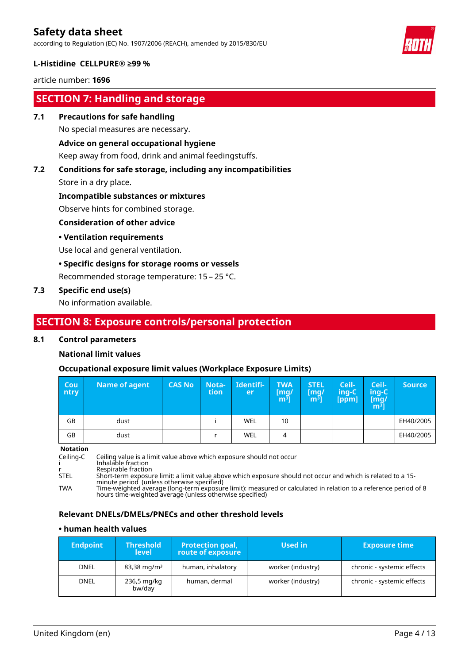according to Regulation (EC) No. 1907/2006 (REACH), amended by 2015/830/EU



#### **L-Histidine CELLPURE® ≥99 %**

article number: **1696**

# **SECTION 7: Handling and storage**

#### **7.1 Precautions for safe handling**

No special measures are necessary.

#### **Advice on general occupational hygiene**

Keep away from food, drink and animal feedingstuffs.

# **7.2 Conditions for safe storage, including any incompatibilities**

Store in a dry place.

#### **Incompatible substances or mixtures**

Observe hints for combined storage.

### **Consideration of other advice**

### **• Ventilation requirements**

Use local and general ventilation.

### **• Specific designs for storage rooms or vessels**

Recommended storage temperature: 15 – 25 °C.

### **7.3 Specific end use(s)**

No information available.

### **SECTION 8: Exposure controls/personal protection**

#### **8.1 Control parameters**

### **National limit values**

### **Occupational exposure limit values (Workplace Exposure Limits)**

| <b>Cou</b><br>ntry | <b>Name of agent</b> | <b>CAS No</b> | Nota-<br>tion | Identifi-<br>er | <b>TWA</b><br>[mq/<br>m <sup>3</sup> | <b>STEL</b><br>[mq/<br>m3] | Ceil-<br>ing-C<br>[ppm] | Ceil-<br>$inq-C$<br>[mg/<br>$\mathsf{m}^{\bar{\mathsf{3}}}]$ | <b>Source</b> |
|--------------------|----------------------|---------------|---------------|-----------------|--------------------------------------|----------------------------|-------------------------|--------------------------------------------------------------|---------------|
| GB                 | dust                 |               |               | WEL             | 10                                   |                            |                         |                                                              | EH40/2005     |
| GB                 | dust                 |               |               | WEL             | 4                                    |                            |                         |                                                              | EH40/2005     |

**Notation**

Ceiling-C Ceiling value is a limit value above which exposure should not occur i Inhalable fraction r Respirable fraction STEL Short-term exposure limit: a limit value above which exposure should not occur and which is related to a 15 minute period (unless otherwise specified) TWA Time-weighted average (long-term exposure limit): measured or calculated in relation to a reference period of 8 hours time-weighted average (unless otherwise specified)

#### **Relevant DNELs/DMELs/PNECs and other threshold levels**

#### **• human health values**

| <b>Endpoint</b> | <b>Threshold</b><br><b>level</b> | <b>Protection goal,</b><br>route of exposure | Used in           | <b>Exposure time</b>       |
|-----------------|----------------------------------|----------------------------------------------|-------------------|----------------------------|
| <b>DNEL</b>     | $83,38 \,\mathrm{mg/m^3}$        | human, inhalatory                            | worker (industry) | chronic - systemic effects |
| DNEL            | 236,5 mg/kg<br>bw/day            | human, dermal                                | worker (industry) | chronic - systemic effects |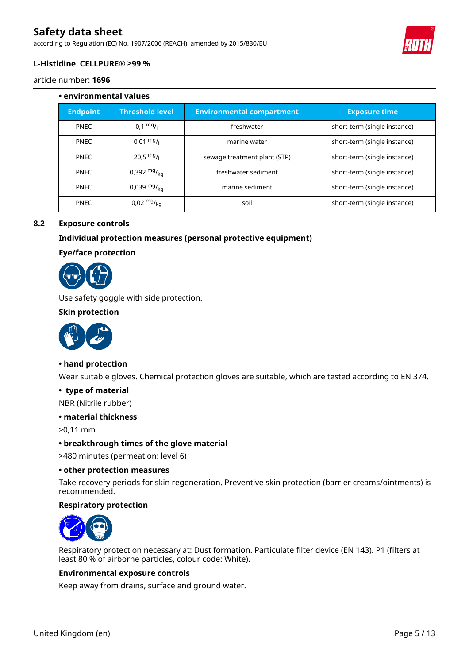according to Regulation (EC) No. 1907/2006 (REACH), amended by 2015/830/EU



### **L-Histidine CELLPURE® ≥99 %**

#### article number: **1696**

# **• environmental values Endpoint Threshold level Environmental compartment Exposure time** PNEC  $\vert$  0,1 mg/l freshwater **short-term** (single instance) PNEC 0,01 mg/<sub>l</sub> marine water short-term (single instance) PNEC 1 20,5 mg/<sub>l</sub> sewage treatment plant (STP) short-term (single instance) PNEC  $\begin{vmatrix} 0.392 \text{ m}g_{k\sigma} \end{vmatrix}$  freshwater sediment short-term (single instance) PNEC  $\begin{vmatrix} 0.039 & mg\\ g & \bar{g} & \bar{g} \end{vmatrix}$  marine sediment  $\begin{vmatrix} 0 & mg\\ g & \bar{g} & \bar{g} \end{vmatrix}$  short-term (single instance) PNEC 0,02 mg/kg soil short-term (single instance)

### **8.2 Exposure controls**

### **Individual protection measures (personal protective equipment)**

#### **Eye/face protection**



Use safety goggle with side protection.

#### **Skin protection**



#### **• hand protection**

Wear suitable gloves. Chemical protection gloves are suitable, which are tested according to EN 374.

#### **• type of material**

NBR (Nitrile rubber)

#### **• material thickness**

>0,11 mm

#### **• breakthrough times of the glove material**

>480 minutes (permeation: level 6)

#### **• other protection measures**

Take recovery periods for skin regeneration. Preventive skin protection (barrier creams/ointments) is recommended.

#### **Respiratory protection**



Respiratory protection necessary at: Dust formation. Particulate filter device (EN 143). P1 (filters at least 80 % of airborne particles, colour code: White).

#### **Environmental exposure controls**

Keep away from drains, surface and ground water.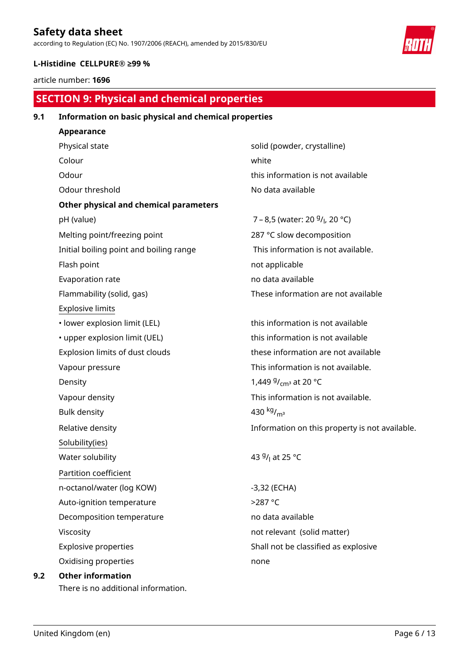according to Regulation (EC) No. 1907/2006 (REACH), amended by 2015/830/EU



### **L-Histidine CELLPURE® ≥99 %**

article number: **1696**

# **SECTION 9: Physical and chemical properties**

### **9.1 Information on basic physical and chemical properties**

| Appearance                              |                                                         |
|-----------------------------------------|---------------------------------------------------------|
| Physical state                          | solid (powder, crystalline)                             |
| Colour                                  | white                                                   |
| Odour                                   | this information is not avail                           |
| Odour threshold                         | No data available                                       |
| Other physical and chemical parameters  |                                                         |
| pH (value)                              | 7 – 8,5 (water: 20 <sup>g</sup> / <sub>l</sub> , 20 °C) |
| Melting point/freezing point            | 287 °C slow decomposition                               |
| Initial boiling point and boiling range | This information is not ava                             |
| Flash point                             | not applicable                                          |
| Evaporation rate                        | no data available                                       |
| Flammability (solid, gas)               | These information are not                               |
| <b>Explosive limits</b>                 |                                                         |
| · lower explosion limit (LEL)           | this information is not avail                           |
| • upper explosion limit (UEL)           | this information is not avail                           |
| Explosion limits of dust clouds         | these information are not a                             |
| Vapour pressure                         | This information is not avai                            |
| Density                                 | 1,449 $9/_{cm^3}$ at 20 °C                              |
| Vapour density                          | This information is not avai                            |
| <b>Bulk density</b>                     | 430 $kg/m3$                                             |
| Relative density                        | Information on this proper                              |
| Solubility(ies)                         |                                                         |
| Water solubility                        | 43 <sup>g</sup> / <sub>l</sub> at 25 °C                 |
| Partition coefficient                   |                                                         |
| n-octanol/water (log KOW)               | $-3,32$ (ECHA)                                          |
| Auto-ignition temperature               | >287 °C                                                 |
| Decomposition temperature               | no data available                                       |
| Viscosity                               | not relevant (solid matter)                             |
| <b>Explosive properties</b>             | Shall not be classified as ex                           |
| Oxidising properties                    | none                                                    |
| <b>Other information</b>                |                                                         |
| There is no additional information.     |                                                         |

owder, crystalline) rmation is not available available

Iow decomposition  $\delta$ ormation is not available. available nformation are not available

 $\mathsf{invariant}$  is not available  $emation$  is not available formation are not available ormation is not available.  $v_{\rm cm}$ <sup>3</sup> at 20 °C ormation is not available. ation on this property is not available.

available vant (solid matter) t be classified as explosive

**9.2 Other information**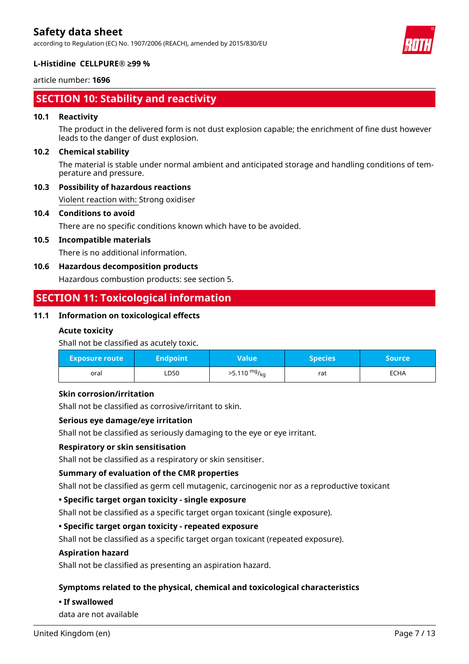according to Regulation (EC) No. 1907/2006 (REACH), amended by 2015/830/EU



### **L-Histidine CELLPURE® ≥99 %**

article number: **1696**

# **SECTION 10: Stability and reactivity**

#### **10.1 Reactivity**

The product in the delivered form is not dust explosion capable; the enrichment of fine dust however leads to the danger of dust explosion.

#### **10.2 Chemical stability**

The material is stable under normal ambient and anticipated storage and handling conditions of temperature and pressure.

### **10.3 Possibility of hazardous reactions**

Violent reaction with: Strong oxidiser

#### **10.4 Conditions to avoid**

There are no specific conditions known which have to be avoided.

### **10.5 Incompatible materials**

There is no additional information.

### **10.6 Hazardous decomposition products**

Hazardous combustion products: see section 5.

# **SECTION 11: Toxicological information**

### **11.1 Information on toxicological effects**

### **Acute toxicity**

Shall not be classified as acutely toxic.

| <b>Exposure route</b> | Endpoint <b>b</b> | Value                  | <b>Species</b> | <b>Source</b> |
|-----------------------|-------------------|------------------------|----------------|---------------|
| oral                  | LD50              | $>5.110 \frac{mg}{kg}$ | rat            | <b>ECHA</b>   |

#### **Skin corrosion/irritation**

Shall not be classified as corrosive/irritant to skin.

#### **Serious eye damage/eye irritation**

Shall not be classified as seriously damaging to the eye or eye irritant.

#### **Respiratory or skin sensitisation**

Shall not be classified as a respiratory or skin sensitiser.

#### **Summary of evaluation of the CMR properties**

Shall not be classified as germ cell mutagenic, carcinogenic nor as a reproductive toxicant

#### **• Specific target organ toxicity - single exposure**

Shall not be classified as a specific target organ toxicant (single exposure).

### **• Specific target organ toxicity - repeated exposure**

Shall not be classified as a specific target organ toxicant (repeated exposure).

#### **Aspiration hazard**

Shall not be classified as presenting an aspiration hazard.

### **Symptoms related to the physical, chemical and toxicological characteristics**

#### **• If swallowed**

data are not available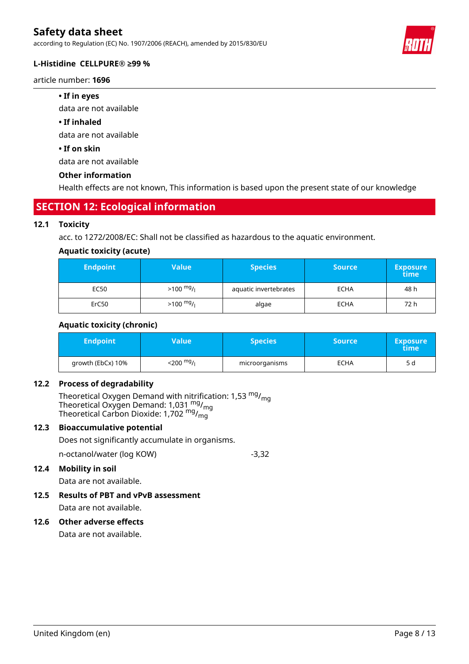according to Regulation (EC) No. 1907/2006 (REACH), amended by 2015/830/EU

#### **L-Histidine CELLPURE® ≥99 %**

article number: **1696**

#### **• If in eyes**

data are not available

#### **• If inhaled**

data are not available

#### **• If on skin**

data are not available

#### **Other information**

Health effects are not known, This information is based upon the present state of our knowledge

### **SECTION 12: Ecological information**

#### **12.1 Toxicity**

acc. to 1272/2008/EC: Shall not be classified as hazardous to the aquatic environment.

#### **Aquatic toxicity (acute)**

| <b>Endpoint</b> | Value               | <b>Species</b>        | <b>Source</b> | <b>Exposure</b><br>time |
|-----------------|---------------------|-----------------------|---------------|-------------------------|
| EC50            | $>100 \frac{mg}{l}$ | aquatic invertebrates | <b>ECHA</b>   | 48 h                    |
| ErC50           | $>100 \frac{mg}{l}$ | algae                 | <b>ECHA</b>   | 72 h                    |

#### **Aquatic toxicity (chronic)**

| <b>Endpoint</b>   | Value'                               | <b>Species</b> | <b>Source</b> | <b>Exposure</b><br>time |
|-------------------|--------------------------------------|----------------|---------------|-------------------------|
| growth (EbCx) 10% | $<$ 200 <sup>mg</sup> / <sub>l</sub> | microorganisms | <b>ECHA</b>   | 5 d                     |

#### **12.2 Process of degradability**

Theoretical Oxygen Demand with nitrification: 1,53  $^{\mathsf{mg}}\prime_{\mathsf{mg}}$ Theoretical Oxygen Demand: 1,031  $_{\text{mg}}^{\text{mg}}$ /<sub>mg</sub> Theoretical Carbon Dioxide: 1,702 <sup>mg</sup>/<sub>mg</sub>

### **12.3 Bioaccumulative potential**

Does not significantly accumulate in organisms.

n-octanol/water (log KOW) -3,32

### **12.4 Mobility in soil**

Data are not available.

### **12.5 Results of PBT and vPvB assessment** Data are not available.

#### **12.6 Other adverse effects**

Data are not available.

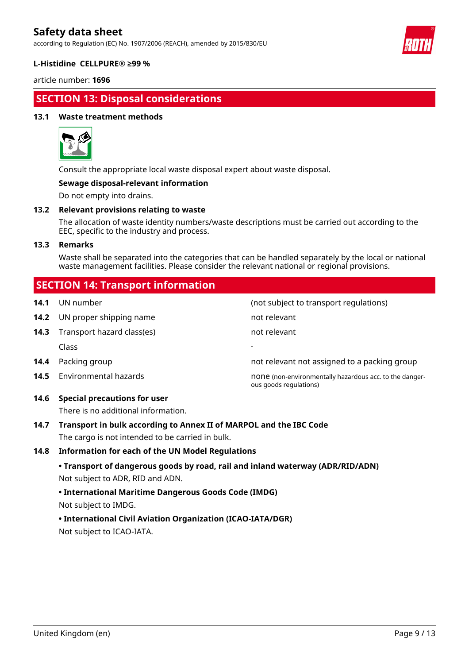according to Regulation (EC) No. 1907/2006 (REACH), amended by 2015/830/EU



#### **L-Histidine CELLPURE® ≥99 %**

article number: **1696**

# **SECTION 13: Disposal considerations**

#### **13.1 Waste treatment methods**



Consult the appropriate local waste disposal expert about waste disposal.

#### **Sewage disposal-relevant information**

Do not empty into drains.

#### **13.2 Relevant provisions relating to waste**

The allocation of waste identity numbers/waste descriptions must be carried out according to the EEC, specific to the industry and process.

#### **13.3 Remarks**

Waste shall be separated into the categories that can be handled separately by the local or national waste management facilities. Please consider the relevant national or regional provisions.

# **SECTION 14: Transport information**

| 14.1 | UN number                           | (not subject to transport regulations)                                            |
|------|-------------------------------------|-----------------------------------------------------------------------------------|
| 14.2 | UN proper shipping name             | not relevant                                                                      |
| 14.3 | Transport hazard class(es)          | not relevant                                                                      |
|      | <b>Class</b>                        |                                                                                   |
| 14.4 | Packing group                       | not relevant not assigned to a packing group                                      |
| 14.5 | Environmental hazards               | none (non-environmentally hazardous acc. to the danger-<br>ous goods regulations) |
| 14.6 | <b>Special precautions for user</b> |                                                                                   |

There is no additional information.

**14.7 Transport in bulk according to Annex II of MARPOL and the IBC Code** The cargo is not intended to be carried in bulk.

#### **14.8 Information for each of the UN Model Regulations**

**• Transport of dangerous goods by road, rail and inland waterway (ADR/RID/ADN)** Not subject to ADR, RID and ADN.

#### **• International Maritime Dangerous Goods Code (IMDG)**

Not subject to IMDG.

### **• International Civil Aviation Organization (ICAO-IATA/DGR)**

Not subject to ICAO-IATA.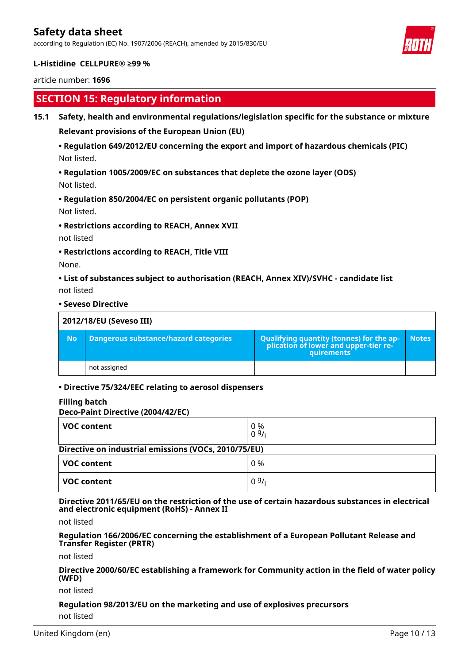according to Regulation (EC) No. 1907/2006 (REACH), amended by 2015/830/EU



### **L-Histidine CELLPURE® ≥99 %**

article number: **1696**

# **SECTION 15: Regulatory information**

**15.1 Safety, health and environmental regulations/legislation specific for the substance or mixture**

**Relevant provisions of the European Union (EU)**

### **• Regulation 649/2012/EU concerning the export and import of hazardous chemicals (PIC)** Not listed.

**• Regulation 1005/2009/EC on substances that deplete the ozone layer (ODS)**

Not listed.

### **• Regulation 850/2004/EC on persistent organic pollutants (POP)**

Not listed.

**• Restrictions according to REACH, Annex XVII**

not listed

**• Restrictions according to REACH, Title VIII**

None.

**• List of substances subject to authorisation (REACH, Annex XIV)/SVHC - candidate list** not listed

#### **• Seveso Directive**

|           | 2012/18/EU (Seveso III)                      |                                                                                                   |              |  |  |
|-----------|----------------------------------------------|---------------------------------------------------------------------------------------------------|--------------|--|--|
| <b>No</b> | <b>Dangerous substance/hazard categories</b> | Qualifying quantity (tonnes) for the ap-<br>  plication of lower and upper-tier re-<br>quirements | <b>Notes</b> |  |  |
|           | not assigned                                 |                                                                                                   |              |  |  |

#### **• Directive 75/324/EEC relating to aerosol dispensers**

#### **Filling batch**

**Deco-Paint Directive (2004/42/EC)**

| VOC content                                          | 0 %<br>09/ |  |  |  |
|------------------------------------------------------|------------|--|--|--|
| Directive on industrial emissions (VOCs, 2010/75/EU) |            |  |  |  |
| <b>VOC content</b>                                   | 0 %        |  |  |  |
| <b>VOC content</b>                                   | 09/1       |  |  |  |

**Directive 2011/65/EU on the restriction of the use of certain hazardous substances in electrical and electronic equipment (RoHS) - Annex II**

not listed

**Regulation 166/2006/EC concerning the establishment of a European Pollutant Release and Transfer Register (PRTR)**

not listed

**Directive 2000/60/EC establishing a framework for Community action in the field of water policy (WFD)**

not listed

**Regulation 98/2013/EU on the marketing and use of explosives precursors**

not listed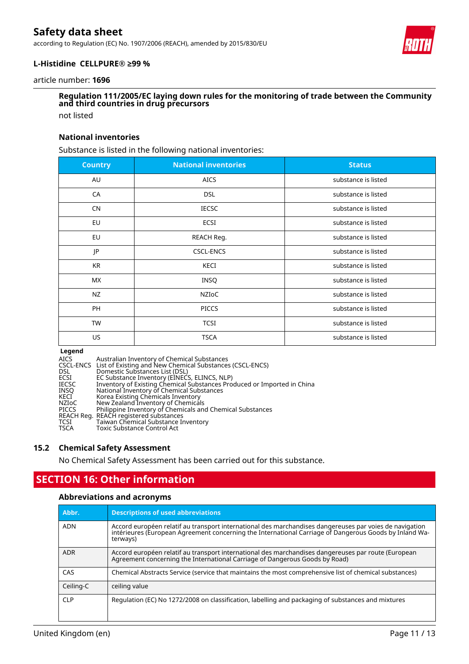according to Regulation (EC) No. 1907/2006 (REACH), amended by 2015/830/EU



#### **L-Histidine CELLPURE® ≥99 %**

article number: **1696**

# **Regulation 111/2005/EC laying down rules for the monitoring of trade between the Community and third countries in drug precursors**

not listed

#### **National inventories**

Substance is listed in the following national inventories:

| <b>Country</b> | <b>National inventories</b> | <b>Status</b>       |
|----------------|-----------------------------|---------------------|
| AU             | <b>AICS</b>                 | substance is listed |
| CA             | <b>DSL</b>                  | substance is listed |
| <b>CN</b>      | <b>IECSC</b>                | substance is listed |
| EU             | <b>ECSI</b>                 | substance is listed |
| EU             | REACH Reg.                  | substance is listed |
| JP             | <b>CSCL-ENCS</b>            | substance is listed |
| <b>KR</b>      | KECI                        | substance is listed |
| MX             | <b>INSQ</b>                 | substance is listed |
| <b>NZ</b>      | NZIOC                       | substance is listed |
| PH             | <b>PICCS</b>                | substance is listed |
| TW             | <b>TCSI</b>                 | substance is listed |
| US             | <b>TSCA</b>                 | substance is listed |

**Legend**<br>AICS<br>CSCL-ENCS AICS Australian Inventory of Chemical Substances CSCL-ENCS List of Existing and New Chemical Substances (CSCL-ENCS) DSL Domestic Substances List (DSL) ECSI EC Substance Inventory (EINECS, ELINCS, NLP) IECSC Inventory of Existing Chemical Substances Produced or Imported in China INSQ National Inventory of Chemical Substances KECI Korea Existing Chemicals Inventory NZIoC New Zealand Inventory of Chemicals PICCS Philippine Inventory of Chemicals and Chemical Substances REACH Reg. REACH registered substances<br>TCSI Taiwan Chemical Substance Ir<br>TSCA Toxic Substance Control Act TCSI Taiwan Chemical Substance Inventory TSCA Toxic Substance Control Act

#### **15.2 Chemical Safety Assessment**

No Chemical Safety Assessment has been carried out for this substance.

# **SECTION 16: Other information**

#### **Abbreviations and acronyms**

| Abbr.      | <b>Descriptions of used abbreviations</b>                                                                                                                                                                                     |
|------------|-------------------------------------------------------------------------------------------------------------------------------------------------------------------------------------------------------------------------------|
| <b>ADN</b> | Accord européen relatif au transport international des marchandises dangereuses par voies de navigation<br>intérieures (European Agreement concerning the International Carriage of Dangerous Goods by Inland Wa-<br>terways) |
| <b>ADR</b> | Accord européen relatif au transport international des marchandises dangereuses par route (European<br>Agreement concerning the International Carriage of Dangerous Goods by Road)                                            |
| CAS        | Chemical Abstracts Service (service that maintains the most comprehensive list of chemical substances)                                                                                                                        |
| Ceiling-C  | ceiling value                                                                                                                                                                                                                 |
| <b>CLP</b> | Regulation (EC) No 1272/2008 on classification, labelling and packaging of substances and mixtures                                                                                                                            |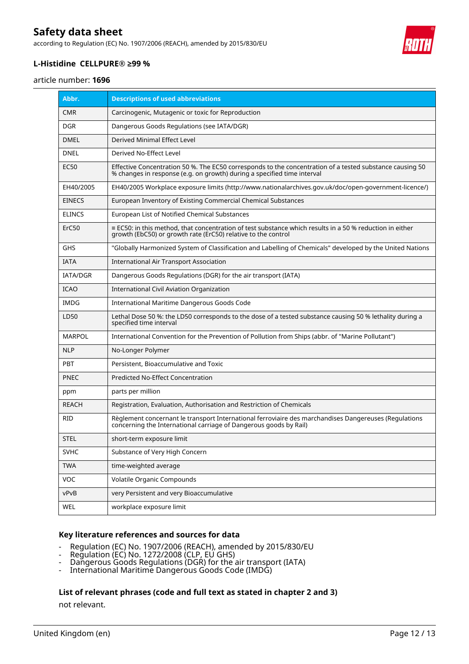according to Regulation (EC) No. 1907/2006 (REACH), amended by 2015/830/EU

### **L-Histidine CELLPURE® ≥99 %**

article number: **1696**

| Abbr.           | <b>Descriptions of used abbreviations</b>                                                                                                                                           |
|-----------------|-------------------------------------------------------------------------------------------------------------------------------------------------------------------------------------|
| <b>CMR</b>      | Carcinogenic, Mutagenic or toxic for Reproduction                                                                                                                                   |
| DGR.            | Dangerous Goods Regulations (see IATA/DGR)                                                                                                                                          |
| <b>DMEL</b>     | Derived Minimal Effect Level                                                                                                                                                        |
| DNEL            | Derived No-Effect Level                                                                                                                                                             |
| EC50            | Effective Concentration 50 %. The EC50 corresponds to the concentration of a tested substance causing 50<br>% changes in response (e.g. on growth) during a specified time interval |
| EH40/2005       | EH40/2005 Workplace exposure limits (http://www.nationalarchives.gov.uk/doc/open-government-licence/)                                                                               |
| <b>EINECS</b>   | European Inventory of Existing Commercial Chemical Substances                                                                                                                       |
| <b>ELINCS</b>   | European List of Notified Chemical Substances                                                                                                                                       |
| ErC50           | $\equiv$ EC50: in this method, that concentration of test substance which results in a 50 % reduction in either<br>growth (EbC50) or growth rate (ErC50) relative to the control    |
| GHS             | "Globally Harmonized System of Classification and Labelling of Chemicals" developed by the United Nations                                                                           |
| <b>IATA</b>     | <b>International Air Transport Association</b>                                                                                                                                      |
| <b>IATA/DGR</b> | Dangerous Goods Regulations (DGR) for the air transport (IATA)                                                                                                                      |
| <b>ICAO</b>     | <b>International Civil Aviation Organization</b>                                                                                                                                    |
| IMDG            | International Maritime Dangerous Goods Code                                                                                                                                         |
| LD50            | Lethal Dose 50 %: the LD50 corresponds to the dose of a tested substance causing 50 % lethality during a<br>specified time interval                                                 |
| <b>MARPOL</b>   | International Convention for the Prevention of Pollution from Ships (abbr. of "Marine Pollutant")                                                                                   |
| <b>NLP</b>      | No-Longer Polymer                                                                                                                                                                   |
| PBT             | Persistent, Bioaccumulative and Toxic                                                                                                                                               |
| <b>PNEC</b>     | Predicted No-Effect Concentration                                                                                                                                                   |
| ppm             | parts per million                                                                                                                                                                   |
| <b>REACH</b>    | Registration, Evaluation, Authorisation and Restriction of Chemicals                                                                                                                |
| <b>RID</b>      | Règlement concernant le transport International ferroviaire des marchandises Dangereuses (Regulations<br>concerning the International carriage of Dangerous goods by Rail)          |
| STEL            | short-term exposure limit                                                                                                                                                           |
| <b>SVHC</b>     | Substance of Very High Concern                                                                                                                                                      |
| <b>TWA</b>      | time-weighted average                                                                                                                                                               |
| VOC             | Volatile Organic Compounds                                                                                                                                                          |
| vPvB            | very Persistent and very Bioaccumulative                                                                                                                                            |
| WEL             | workplace exposure limit                                                                                                                                                            |

#### **Key literature references and sources for data**

- Regulation (EC) No. 1907/2006 (REACH), amended by 2015/830/EU
- Regulation (EC) No. 1272/2008 (CLP, EU GHS)
- Dangerous Goods Regulations (DGR) for the air transport (IATA)
- International Maritime Dangerous Goods Code (IMDG)

#### **List of relevant phrases (code and full text as stated in chapter 2 and 3)**

not relevant.